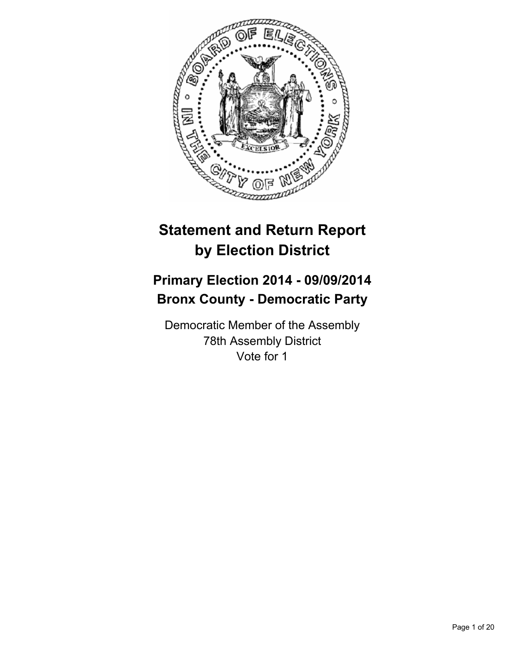

# **Statement and Return Report by Election District**

# **Primary Election 2014 - 09/09/2014 Bronx County - Democratic Party**

Democratic Member of the Assembly 78th Assembly District Vote for 1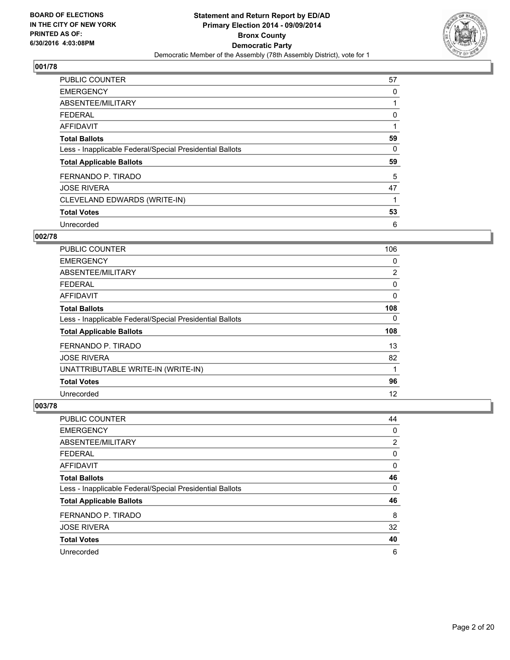

| <b>PUBLIC COUNTER</b>                                    | 57 |
|----------------------------------------------------------|----|
| <b>EMERGENCY</b>                                         | 0  |
| ABSENTEE/MILITARY                                        | 1  |
| <b>FEDERAL</b>                                           | 0  |
| <b>AFFIDAVIT</b>                                         |    |
| <b>Total Ballots</b>                                     | 59 |
| Less - Inapplicable Federal/Special Presidential Ballots | 0  |
| <b>Total Applicable Ballots</b>                          | 59 |
| FERNANDO P. TIRADO                                       | 5  |
| <b>JOSE RIVERA</b>                                       | 47 |
| CLEVELAND EDWARDS (WRITE-IN)                             |    |
| <b>Total Votes</b>                                       | 53 |
| Unrecorded                                               | 6  |

# **002/78**

| <b>PUBLIC COUNTER</b>                                    | 106            |
|----------------------------------------------------------|----------------|
| <b>EMERGENCY</b>                                         | 0              |
| ABSENTEE/MILITARY                                        | $\overline{2}$ |
| <b>FEDERAL</b>                                           | 0              |
| <b>AFFIDAVIT</b>                                         | 0              |
| <b>Total Ballots</b>                                     | 108            |
| Less - Inapplicable Federal/Special Presidential Ballots | 0              |
| <b>Total Applicable Ballots</b>                          | 108            |
| FERNANDO P. TIRADO                                       | 13             |
| <b>JOSE RIVERA</b>                                       | 82             |
| UNATTRIBUTABLE WRITE-IN (WRITE-IN)                       | 1              |
| <b>Total Votes</b>                                       | 96             |
| Unrecorded                                               | 12             |

| PUBLIC COUNTER                                           | 44 |
|----------------------------------------------------------|----|
| <b>EMERGENCY</b>                                         | 0  |
| ABSENTEE/MILITARY                                        | 2  |
| <b>FEDERAL</b>                                           | 0  |
| AFFIDAVIT                                                | 0  |
| <b>Total Ballots</b>                                     | 46 |
| Less - Inapplicable Federal/Special Presidential Ballots | 0  |
| <b>Total Applicable Ballots</b>                          | 46 |
| FERNANDO P. TIRADO                                       | 8  |
| <b>JOSE RIVERA</b>                                       | 32 |
| <b>Total Votes</b>                                       | 40 |
| Unrecorded                                               | 6  |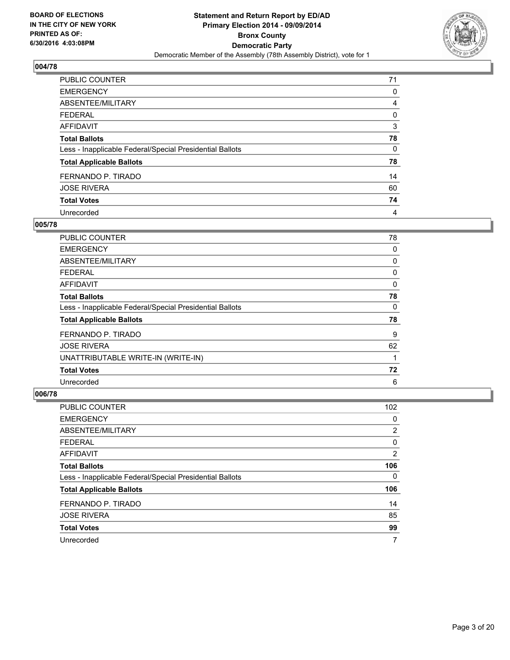

| PUBLIC COUNTER                                           | 71 |
|----------------------------------------------------------|----|
| <b>EMERGENCY</b>                                         | 0  |
| ABSENTEE/MILITARY                                        | 4  |
| <b>FEDERAL</b>                                           | 0  |
| <b>AFFIDAVIT</b>                                         | 3  |
| <b>Total Ballots</b>                                     | 78 |
| Less - Inapplicable Federal/Special Presidential Ballots | 0  |
| <b>Total Applicable Ballots</b>                          | 78 |
| FERNANDO P. TIRADO                                       | 14 |
| <b>JOSE RIVERA</b>                                       | 60 |
| <b>Total Votes</b>                                       | 74 |
| Unrecorded                                               | 4  |

#### **005/78**

| <b>PUBLIC COUNTER</b>                                    | 78 |
|----------------------------------------------------------|----|
| <b>EMERGENCY</b>                                         | 0  |
| ABSENTEE/MILITARY                                        | 0  |
| <b>FEDERAL</b>                                           | 0  |
| AFFIDAVIT                                                | 0  |
| <b>Total Ballots</b>                                     | 78 |
| Less - Inapplicable Federal/Special Presidential Ballots | 0  |
| <b>Total Applicable Ballots</b>                          | 78 |
| FERNANDO P. TIRADO                                       | 9  |
| <b>JOSE RIVERA</b>                                       | 62 |
| UNATTRIBUTABLE WRITE-IN (WRITE-IN)                       |    |
| <b>Total Votes</b>                                       | 72 |
| Unrecorded                                               | 6  |

| <b>PUBLIC COUNTER</b>                                    | 102 |
|----------------------------------------------------------|-----|
| <b>EMERGENCY</b>                                         | 0   |
| ABSENTEE/MILITARY                                        | 2   |
| <b>FEDERAL</b>                                           | 0   |
| AFFIDAVIT                                                | 2   |
| <b>Total Ballots</b>                                     | 106 |
| Less - Inapplicable Federal/Special Presidential Ballots | 0   |
| <b>Total Applicable Ballots</b>                          | 106 |
| FERNANDO P. TIRADO                                       | 14  |
| <b>JOSE RIVERA</b>                                       | 85  |
| <b>Total Votes</b>                                       | 99  |
| Unrecorded                                               | 7   |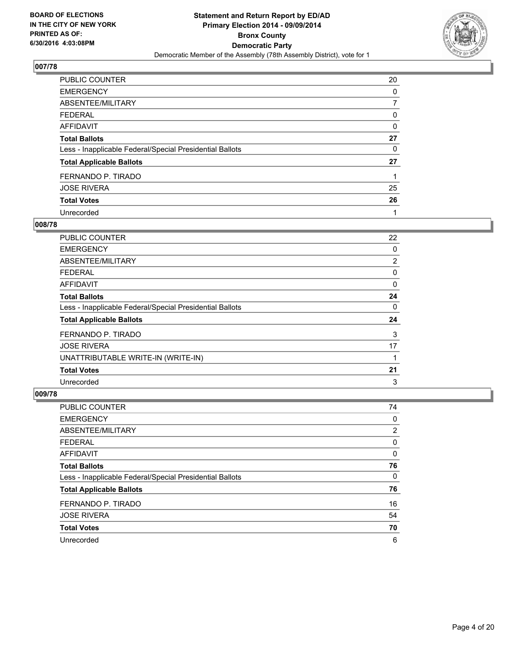

| PUBLIC COUNTER                                           | 20 |
|----------------------------------------------------------|----|
| <b>EMERGENCY</b>                                         | 0  |
| ABSENTEE/MILITARY                                        |    |
| <b>FEDERAL</b>                                           | 0  |
| <b>AFFIDAVIT</b>                                         | 0  |
| <b>Total Ballots</b>                                     | 27 |
| Less - Inapplicable Federal/Special Presidential Ballots | 0  |
| <b>Total Applicable Ballots</b>                          | 27 |
| FERNANDO P. TIRADO                                       |    |
| <b>JOSE RIVERA</b>                                       | 25 |
| <b>Total Votes</b>                                       | 26 |
| Unrecorded                                               |    |

#### **008/78**

| PUBLIC COUNTER                                           | 22             |
|----------------------------------------------------------|----------------|
| <b>EMERGENCY</b>                                         | 0              |
| ABSENTEE/MILITARY                                        | $\overline{2}$ |
| <b>FEDERAL</b>                                           | 0              |
| AFFIDAVIT                                                | 0              |
| <b>Total Ballots</b>                                     | 24             |
| Less - Inapplicable Federal/Special Presidential Ballots | 0              |
| <b>Total Applicable Ballots</b>                          | 24             |
| FERNANDO P. TIRADO                                       | 3              |
| <b>JOSE RIVERA</b>                                       | 17             |
| UNATTRIBUTABLE WRITE-IN (WRITE-IN)                       |                |
| <b>Total Votes</b>                                       | 21             |
| Unrecorded                                               | 3              |

| PUBLIC COUNTER                                           | 74 |
|----------------------------------------------------------|----|
| <b>EMERGENCY</b>                                         | 0  |
| ABSENTEE/MILITARY                                        | 2  |
| <b>FEDERAL</b>                                           | 0  |
| AFFIDAVIT                                                | 0  |
| <b>Total Ballots</b>                                     | 76 |
| Less - Inapplicable Federal/Special Presidential Ballots | 0  |
| <b>Total Applicable Ballots</b>                          | 76 |
| FERNANDO P. TIRADO                                       | 16 |
| <b>JOSE RIVERA</b>                                       | 54 |
| <b>Total Votes</b>                                       | 70 |
| Unrecorded                                               | 6  |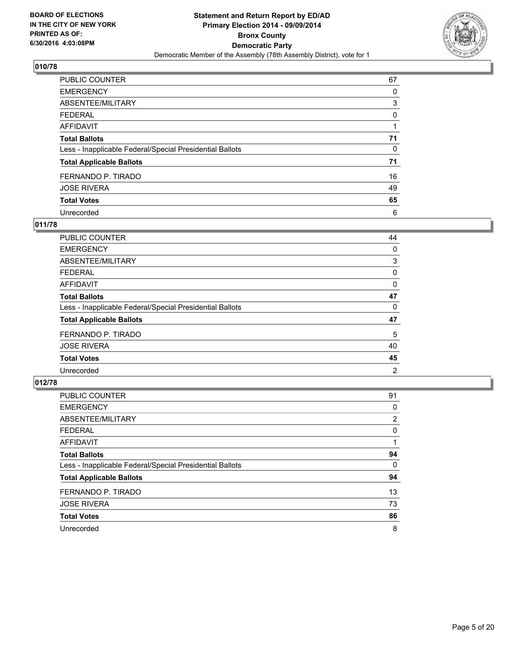

| PUBLIC COUNTER                                           | 67 |
|----------------------------------------------------------|----|
| <b>EMERGENCY</b>                                         | 0  |
| ABSENTEE/MILITARY                                        | 3  |
| <b>FEDERAL</b>                                           | 0  |
| <b>AFFIDAVIT</b>                                         |    |
| <b>Total Ballots</b>                                     | 71 |
| Less - Inapplicable Federal/Special Presidential Ballots | 0  |
| <b>Total Applicable Ballots</b>                          | 71 |
| FERNANDO P. TIRADO                                       | 16 |
| <b>JOSE RIVERA</b>                                       | 49 |
| <b>Total Votes</b>                                       | 65 |
| Unrecorded                                               | 6  |

#### **011/78**

| PUBLIC COUNTER                                           | 44 |
|----------------------------------------------------------|----|
| <b>EMERGENCY</b>                                         | 0  |
| ABSENTEE/MILITARY                                        | 3  |
| <b>FEDERAL</b>                                           | 0  |
| <b>AFFIDAVIT</b>                                         | 0  |
| <b>Total Ballots</b>                                     | 47 |
| Less - Inapplicable Federal/Special Presidential Ballots | 0  |
| <b>Total Applicable Ballots</b>                          | 47 |
| FERNANDO P. TIRADO                                       | 5  |
| <b>JOSE RIVERA</b>                                       | 40 |
| <b>Total Votes</b>                                       | 45 |
| Unrecorded                                               | 2  |
|                                                          |    |

| PUBLIC COUNTER                                           | 91             |
|----------------------------------------------------------|----------------|
| <b>EMERGENCY</b>                                         | 0              |
| ABSENTEE/MILITARY                                        | $\overline{2}$ |
| <b>FEDERAL</b>                                           | 0              |
| <b>AFFIDAVIT</b>                                         |                |
| <b>Total Ballots</b>                                     | 94             |
| Less - Inapplicable Federal/Special Presidential Ballots | 0              |
| <b>Total Applicable Ballots</b>                          | 94             |
| FERNANDO P. TIRADO                                       | 13             |
| <b>JOSE RIVERA</b>                                       | 73             |
| <b>Total Votes</b>                                       | 86             |
| Unrecorded                                               | 8              |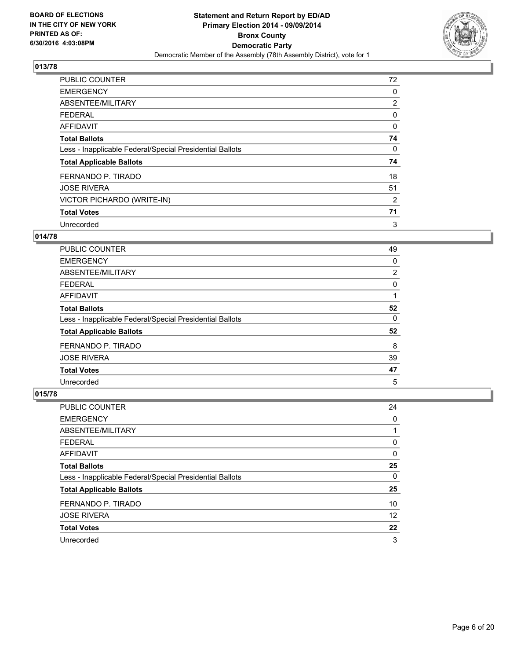

| <b>PUBLIC COUNTER</b>                                    | 72             |
|----------------------------------------------------------|----------------|
| <b>EMERGENCY</b>                                         | 0              |
| ABSENTEE/MILITARY                                        | $\overline{2}$ |
| <b>FEDERAL</b>                                           | 0              |
| AFFIDAVIT                                                | 0              |
| <b>Total Ballots</b>                                     | 74             |
| Less - Inapplicable Federal/Special Presidential Ballots | 0              |
| <b>Total Applicable Ballots</b>                          | 74             |
| FERNANDO P. TIRADO                                       | 18             |
| <b>JOSE RIVERA</b>                                       | 51             |
| VICTOR PICHARDO (WRITE-IN)                               | $\overline{2}$ |
| <b>Total Votes</b>                                       | 71             |
| Unrecorded                                               | 3              |

# **014/78**

| PUBLIC COUNTER                                           | 49 |
|----------------------------------------------------------|----|
| <b>EMERGENCY</b>                                         | 0  |
| ABSENTEE/MILITARY                                        | 2  |
| <b>FEDERAL</b>                                           | 0  |
| <b>AFFIDAVIT</b>                                         |    |
| <b>Total Ballots</b>                                     | 52 |
| Less - Inapplicable Federal/Special Presidential Ballots | 0  |
| <b>Total Applicable Ballots</b>                          | 52 |
| FERNANDO P. TIRADO                                       | 8  |
| <b>JOSE RIVERA</b>                                       | 39 |
| <b>Total Votes</b>                                       | 47 |
| Unrecorded                                               | 5  |

| PUBLIC COUNTER                                           | 24 |
|----------------------------------------------------------|----|
| <b>EMERGENCY</b>                                         | 0  |
| ABSENTEE/MILITARY                                        |    |
| <b>FEDERAL</b>                                           | 0  |
| AFFIDAVIT                                                | 0  |
| <b>Total Ballots</b>                                     | 25 |
| Less - Inapplicable Federal/Special Presidential Ballots | 0  |
| <b>Total Applicable Ballots</b>                          | 25 |
| FERNANDO P. TIRADO                                       | 10 |
| <b>JOSE RIVERA</b>                                       | 12 |
| <b>Total Votes</b>                                       | 22 |
| Unrecorded                                               | 3  |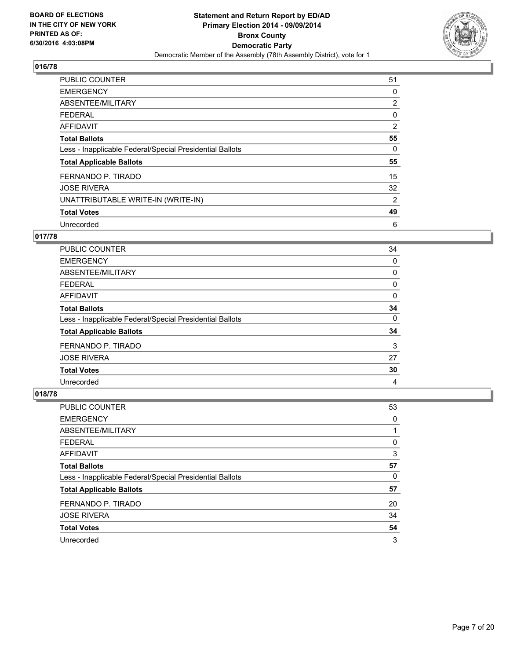

| <b>PUBLIC COUNTER</b>                                    | 51             |
|----------------------------------------------------------|----------------|
| <b>EMERGENCY</b>                                         | 0              |
| ABSENTEE/MILITARY                                        | $\overline{2}$ |
| <b>FEDERAL</b>                                           | 0              |
| <b>AFFIDAVIT</b>                                         | 2              |
| <b>Total Ballots</b>                                     | 55             |
| Less - Inapplicable Federal/Special Presidential Ballots | 0              |
| <b>Total Applicable Ballots</b>                          | 55             |
| FERNANDO P. TIRADO                                       | 15             |
| <b>JOSE RIVERA</b>                                       | 32             |
| UNATTRIBUTABLE WRITE-IN (WRITE-IN)                       | 2              |
| <b>Total Votes</b>                                       | 49             |
| Unrecorded                                               | 6              |

## **017/78**

| <b>PUBLIC COUNTER</b>                                    | 34 |
|----------------------------------------------------------|----|
| <b>EMERGENCY</b>                                         | 0  |
| ABSENTEE/MILITARY                                        | 0  |
| <b>FEDERAL</b>                                           | 0  |
| AFFIDAVIT                                                | 0  |
| <b>Total Ballots</b>                                     | 34 |
| Less - Inapplicable Federal/Special Presidential Ballots | 0  |
| <b>Total Applicable Ballots</b>                          | 34 |
| FERNANDO P. TIRADO                                       | 3  |
| <b>JOSE RIVERA</b>                                       | 27 |
| <b>Total Votes</b>                                       | 30 |
| Unrecorded                                               | 4  |

| PUBLIC COUNTER                                           | 53 |
|----------------------------------------------------------|----|
| <b>EMERGENCY</b>                                         | 0  |
| ABSENTEE/MILITARY                                        |    |
| <b>FEDERAL</b>                                           | 0  |
| AFFIDAVIT                                                | 3  |
| <b>Total Ballots</b>                                     | 57 |
| Less - Inapplicable Federal/Special Presidential Ballots | 0  |
| <b>Total Applicable Ballots</b>                          | 57 |
| FERNANDO P. TIRADO                                       | 20 |
| <b>JOSE RIVERA</b>                                       | 34 |
| <b>Total Votes</b>                                       | 54 |
| Unrecorded                                               | 3  |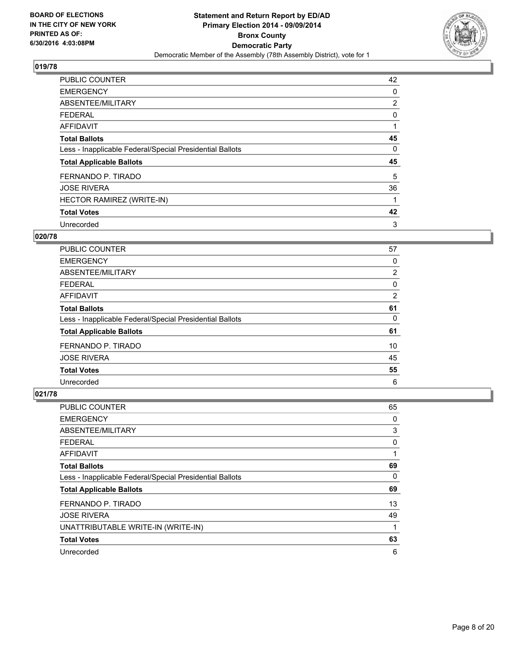

| <b>PUBLIC COUNTER</b>                                    | 42 |
|----------------------------------------------------------|----|
| <b>EMERGENCY</b>                                         | 0  |
| ABSENTEE/MILITARY                                        | 2  |
| <b>FEDERAL</b>                                           | 0  |
| <b>AFFIDAVIT</b>                                         | 1  |
| <b>Total Ballots</b>                                     | 45 |
| Less - Inapplicable Federal/Special Presidential Ballots | 0  |
| <b>Total Applicable Ballots</b>                          | 45 |
| FERNANDO P. TIRADO                                       | 5  |
| <b>JOSE RIVERA</b>                                       | 36 |
| HECTOR RAMIREZ (WRITE-IN)                                | 1  |
| <b>Total Votes</b>                                       | 42 |
| Unrecorded                                               | 3  |

## **020/78**

| <b>PUBLIC COUNTER</b>                                    | 57 |
|----------------------------------------------------------|----|
| <b>EMERGENCY</b>                                         | 0  |
| ABSENTEE/MILITARY                                        | 2  |
| <b>FEDERAL</b>                                           | 0  |
| AFFIDAVIT                                                | 2  |
| <b>Total Ballots</b>                                     | 61 |
| Less - Inapplicable Federal/Special Presidential Ballots | 0  |
| <b>Total Applicable Ballots</b>                          | 61 |
| FERNANDO P. TIRADO                                       | 10 |
| <b>JOSE RIVERA</b>                                       | 45 |
| <b>Total Votes</b>                                       | 55 |
| Unrecorded                                               | 6  |

| <b>PUBLIC COUNTER</b>                                    | 65 |
|----------------------------------------------------------|----|
| <b>EMERGENCY</b>                                         | 0  |
| ABSENTEE/MILITARY                                        | 3  |
| <b>FEDERAL</b>                                           | 0  |
| AFFIDAVIT                                                |    |
| <b>Total Ballots</b>                                     | 69 |
| Less - Inapplicable Federal/Special Presidential Ballots | 0  |
| <b>Total Applicable Ballots</b>                          | 69 |
| FERNANDO P. TIRADO                                       | 13 |
| <b>JOSE RIVERA</b>                                       | 49 |
| UNATTRIBUTABLE WRITE-IN (WRITE-IN)                       |    |
| <b>Total Votes</b>                                       | 63 |
| Unrecorded                                               | 6  |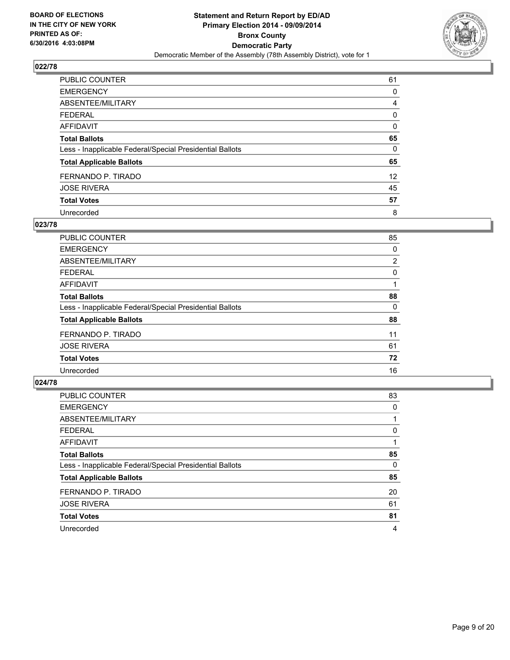

| PUBLIC COUNTER                                           | 61              |
|----------------------------------------------------------|-----------------|
| <b>EMERGENCY</b>                                         | 0               |
| ABSENTEE/MILITARY                                        | 4               |
| <b>FEDERAL</b>                                           | 0               |
| <b>AFFIDAVIT</b>                                         | 0               |
| <b>Total Ballots</b>                                     | 65              |
| Less - Inapplicable Federal/Special Presidential Ballots | 0               |
| <b>Total Applicable Ballots</b>                          | 65              |
| FERNANDO P. TIRADO                                       | 12 <sup>2</sup> |
| <b>JOSE RIVERA</b>                                       | 45              |
| <b>Total Votes</b>                                       | 57              |
| Unrecorded                                               | 8               |

#### **023/78**

| PUBLIC COUNTER                                           | 85             |
|----------------------------------------------------------|----------------|
| <b>EMERGENCY</b>                                         | 0              |
| ABSENTEE/MILITARY                                        | $\overline{2}$ |
| <b>FEDERAL</b>                                           | 0              |
| <b>AFFIDAVIT</b>                                         |                |
| <b>Total Ballots</b>                                     | 88             |
| Less - Inapplicable Federal/Special Presidential Ballots | 0              |
| <b>Total Applicable Ballots</b>                          | 88             |
| FERNANDO P. TIRADO                                       | 11             |
| <b>JOSE RIVERA</b>                                       | 61             |
| <b>Total Votes</b>                                       | 72             |
| Unrecorded                                               | 16             |

| PUBLIC COUNTER                                           | 83 |
|----------------------------------------------------------|----|
| <b>EMERGENCY</b>                                         | 0  |
| ABSENTEE/MILITARY                                        |    |
| <b>FEDERAL</b>                                           | 0  |
| <b>AFFIDAVIT</b>                                         |    |
| <b>Total Ballots</b>                                     | 85 |
| Less - Inapplicable Federal/Special Presidential Ballots | 0  |
| <b>Total Applicable Ballots</b>                          | 85 |
| FERNANDO P. TIRADO                                       | 20 |
| <b>JOSE RIVERA</b>                                       | 61 |
| <b>Total Votes</b>                                       | 81 |
| Unrecorded                                               | 4  |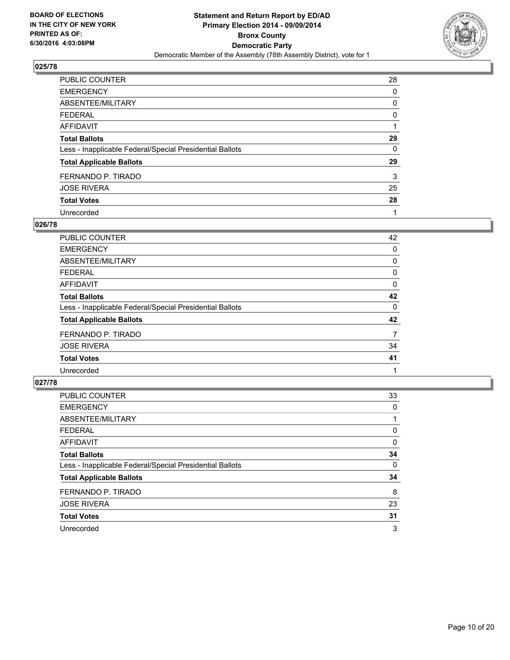

| <b>PUBLIC COUNTER</b>                                    | 28 |
|----------------------------------------------------------|----|
| <b>EMERGENCY</b>                                         | 0  |
| ABSENTEE/MILITARY                                        | 0  |
| <b>FEDERAL</b>                                           | 0  |
| <b>AFFIDAVIT</b>                                         |    |
| <b>Total Ballots</b>                                     | 29 |
| Less - Inapplicable Federal/Special Presidential Ballots | 0  |
| <b>Total Applicable Ballots</b>                          | 29 |
| FERNANDO P. TIRADO                                       | 3  |
| <b>JOSE RIVERA</b>                                       | 25 |
| <b>Total Votes</b>                                       | 28 |
| Unrecorded                                               |    |

#### **026/78**

| PUBLIC COUNTER                                           | 42 |
|----------------------------------------------------------|----|
| <b>EMERGENCY</b>                                         | 0  |
| ABSENTEE/MILITARY                                        | 0  |
| <b>FEDERAL</b>                                           | 0  |
| <b>AFFIDAVIT</b>                                         | 0  |
| <b>Total Ballots</b>                                     | 42 |
| Less - Inapplicable Federal/Special Presidential Ballots | 0  |
| <b>Total Applicable Ballots</b>                          | 42 |
| FERNANDO P. TIRADO                                       | 7  |
| <b>JOSE RIVERA</b>                                       | 34 |
| <b>Total Votes</b>                                       | 41 |
| Unrecorded                                               |    |
|                                                          |    |

| PUBLIC COUNTER                                           | 33 |
|----------------------------------------------------------|----|
| <b>EMERGENCY</b>                                         | 0  |
| ABSENTEE/MILITARY                                        |    |
| <b>FEDERAL</b>                                           | 0  |
| <b>AFFIDAVIT</b>                                         | 0  |
| <b>Total Ballots</b>                                     | 34 |
| Less - Inapplicable Federal/Special Presidential Ballots | 0  |
| <b>Total Applicable Ballots</b>                          | 34 |
| FERNANDO P. TIRADO                                       | 8  |
| <b>JOSE RIVERA</b>                                       | 23 |
| <b>Total Votes</b>                                       | 31 |
| Unrecorded                                               | 3  |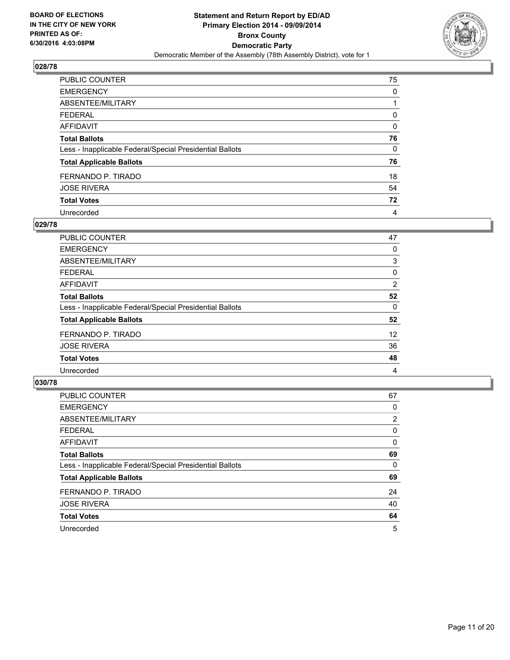

| PUBLIC COUNTER                                           | 75 |
|----------------------------------------------------------|----|
| <b>EMERGENCY</b>                                         | 0  |
| ABSENTEE/MILITARY                                        |    |
| <b>FEDERAL</b>                                           | 0  |
| <b>AFFIDAVIT</b>                                         | 0  |
| <b>Total Ballots</b>                                     | 76 |
| Less - Inapplicable Federal/Special Presidential Ballots | 0  |
| <b>Total Applicable Ballots</b>                          | 76 |
| FERNANDO P. TIRADO                                       | 18 |
| <b>JOSE RIVERA</b>                                       | 54 |
| <b>Total Votes</b>                                       | 72 |
| Unrecorded                                               | 4  |

#### **029/78**

| PUBLIC COUNTER                                           | 47 |
|----------------------------------------------------------|----|
| <b>EMERGENCY</b>                                         | 0  |
| ABSENTEE/MILITARY                                        | 3  |
| <b>FEDERAL</b>                                           | 0  |
| <b>AFFIDAVIT</b>                                         | 2  |
| <b>Total Ballots</b>                                     | 52 |
| Less - Inapplicable Federal/Special Presidential Ballots | 0  |
| <b>Total Applicable Ballots</b>                          | 52 |
| FERNANDO P. TIRADO                                       | 12 |
| <b>JOSE RIVERA</b>                                       | 36 |
| <b>Total Votes</b>                                       | 48 |
| Unrecorded                                               | 4  |
|                                                          |    |

| PUBLIC COUNTER                                           | 67             |
|----------------------------------------------------------|----------------|
| <b>EMERGENCY</b>                                         | 0              |
| ABSENTEE/MILITARY                                        | $\overline{2}$ |
| <b>FEDERAL</b>                                           | 0              |
| <b>AFFIDAVIT</b>                                         | 0              |
| <b>Total Ballots</b>                                     | 69             |
| Less - Inapplicable Federal/Special Presidential Ballots | 0              |
| <b>Total Applicable Ballots</b>                          | 69             |
| FERNANDO P. TIRADO                                       | 24             |
| <b>JOSE RIVERA</b>                                       | 40             |
| <b>Total Votes</b>                                       | 64             |
| Unrecorded                                               | 5              |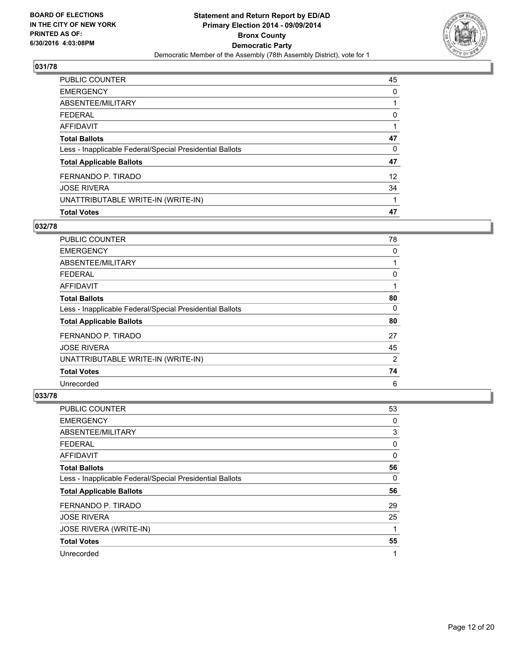

| PUBLIC COUNTER                                           | 45                |
|----------------------------------------------------------|-------------------|
| <b>EMERGENCY</b>                                         | 0                 |
| ABSENTEE/MILITARY                                        |                   |
| <b>FEDERAL</b>                                           | 0                 |
| <b>AFFIDAVIT</b>                                         |                   |
| <b>Total Ballots</b>                                     | 47                |
| Less - Inapplicable Federal/Special Presidential Ballots | 0                 |
| <b>Total Applicable Ballots</b>                          | 47                |
| FERNANDO P. TIRADO                                       | $12 \overline{ }$ |
| <b>JOSE RIVERA</b>                                       | 34                |
| UNATTRIBUTABLE WRITE-IN (WRITE-IN)                       |                   |
| <b>Total Votes</b>                                       | 47                |

## **032/78**

| <b>PUBLIC COUNTER</b>                                    | 78 |
|----------------------------------------------------------|----|
| <b>EMERGENCY</b>                                         | 0  |
| ABSENTEE/MILITARY                                        |    |
| <b>FEDERAL</b>                                           | 0  |
| AFFIDAVIT                                                |    |
| <b>Total Ballots</b>                                     | 80 |
| Less - Inapplicable Federal/Special Presidential Ballots | 0  |
| <b>Total Applicable Ballots</b>                          | 80 |
| FERNANDO P. TIRADO                                       | 27 |
| <b>JOSE RIVERA</b>                                       | 45 |
| UNATTRIBUTABLE WRITE-IN (WRITE-IN)                       | 2  |
| <b>Total Votes</b>                                       | 74 |
| Unrecorded                                               | 6  |

| <b>PUBLIC COUNTER</b>                                    | 53 |
|----------------------------------------------------------|----|
| <b>EMERGENCY</b>                                         | 0  |
| ABSENTEE/MILITARY                                        | 3  |
| <b>FEDERAL</b>                                           | 0  |
| AFFIDAVIT                                                | 0  |
| <b>Total Ballots</b>                                     | 56 |
| Less - Inapplicable Federal/Special Presidential Ballots | 0  |
| <b>Total Applicable Ballots</b>                          | 56 |
| FERNANDO P. TIRADO                                       | 29 |
| <b>JOSE RIVERA</b>                                       | 25 |
| JOSE RIVERA (WRITE-IN)                                   | 1  |
| <b>Total Votes</b>                                       | 55 |
| Unrecorded                                               | 1  |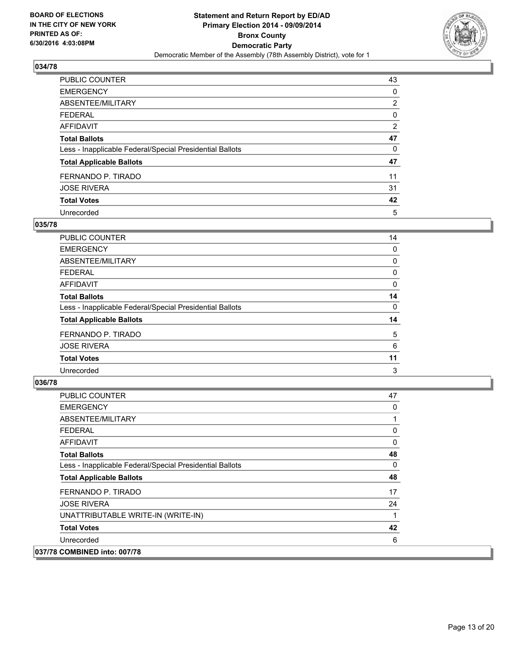

| <b>PUBLIC COUNTER</b>                                    | 43             |
|----------------------------------------------------------|----------------|
| <b>EMERGENCY</b>                                         | 0              |
| ABSENTEE/MILITARY                                        | $\overline{2}$ |
| <b>FEDERAL</b>                                           | 0              |
| <b>AFFIDAVIT</b>                                         | 2              |
| <b>Total Ballots</b>                                     | 47             |
| Less - Inapplicable Federal/Special Presidential Ballots | 0              |
| <b>Total Applicable Ballots</b>                          | 47             |
| FERNANDO P. TIRADO                                       | 11             |
| <b>JOSE RIVERA</b>                                       | 31             |
| <b>Total Votes</b>                                       | 42             |
| Unrecorded                                               | 5              |

#### **035/78**

| PUBLIC COUNTER                                           | 14 |
|----------------------------------------------------------|----|
| <b>EMERGENCY</b>                                         | 0  |
| ABSENTEE/MILITARY                                        | 0  |
| <b>FEDERAL</b>                                           | 0  |
| <b>AFFIDAVIT</b>                                         | 0  |
| <b>Total Ballots</b>                                     | 14 |
| Less - Inapplicable Federal/Special Presidential Ballots | 0  |
| <b>Total Applicable Ballots</b>                          | 14 |
| FERNANDO P. TIRADO                                       | 5  |
| <b>JOSE RIVERA</b>                                       | 6  |
| <b>Total Votes</b>                                       | 11 |
| Unrecorded                                               | 3  |
|                                                          |    |

| <b>PUBLIC COUNTER</b>                                    | 47 |
|----------------------------------------------------------|----|
| <b>EMERGENCY</b>                                         | 0  |
| ABSENTEE/MILITARY                                        |    |
| <b>FEDERAL</b>                                           | 0  |
| AFFIDAVIT                                                | 0  |
| <b>Total Ballots</b>                                     | 48 |
| Less - Inapplicable Federal/Special Presidential Ballots | 0  |
| <b>Total Applicable Ballots</b>                          | 48 |
| FERNANDO P. TIRADO                                       | 17 |
| <b>JOSE RIVERA</b>                                       | 24 |
| UNATTRIBUTABLE WRITE-IN (WRITE-IN)                       | 1  |
| <b>Total Votes</b>                                       | 42 |
| Unrecorded                                               | 6  |
| 037/78 COMBINED into: 007/78                             |    |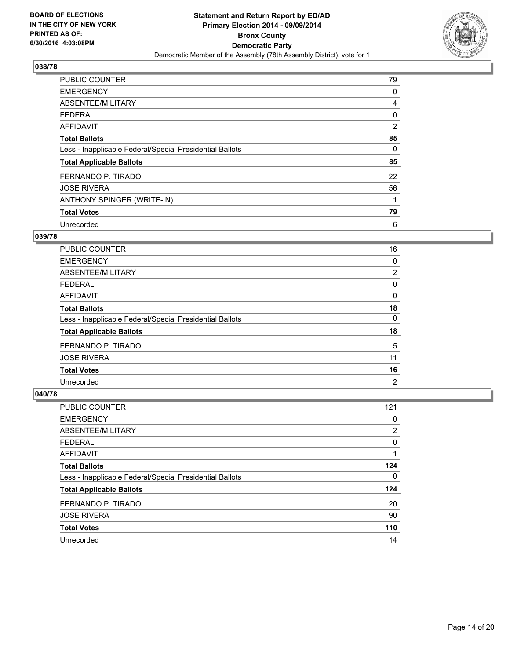

| <b>PUBLIC COUNTER</b>                                    | 79 |
|----------------------------------------------------------|----|
| <b>EMERGENCY</b>                                         | 0  |
| ABSENTEE/MILITARY                                        | 4  |
| <b>FEDERAL</b>                                           | 0  |
| AFFIDAVIT                                                | 2  |
| <b>Total Ballots</b>                                     | 85 |
| Less - Inapplicable Federal/Special Presidential Ballots | 0  |
| <b>Total Applicable Ballots</b>                          | 85 |
| FERNANDO P. TIRADO                                       | 22 |
| <b>JOSE RIVERA</b>                                       | 56 |
| ANTHONY SPINGER (WRITE-IN)                               |    |
| <b>Total Votes</b>                                       | 79 |
| Unrecorded                                               | 6  |

# **039/78**

| <b>PUBLIC COUNTER</b>                                    | 16             |
|----------------------------------------------------------|----------------|
| <b>EMERGENCY</b>                                         | 0              |
| ABSENTEE/MILITARY                                        | 2              |
| FEDERAL                                                  | 0              |
| AFFIDAVIT                                                | 0              |
| <b>Total Ballots</b>                                     | 18             |
| Less - Inapplicable Federal/Special Presidential Ballots | 0              |
| <b>Total Applicable Ballots</b>                          | 18             |
| FERNANDO P. TIRADO                                       | 5              |
| <b>JOSE RIVERA</b>                                       | 11             |
| <b>Total Votes</b>                                       | 16             |
| Unrecorded                                               | $\overline{2}$ |

| <b>PUBLIC COUNTER</b>                                    | 121 |
|----------------------------------------------------------|-----|
| <b>EMERGENCY</b>                                         | 0   |
| ABSENTEE/MILITARY                                        | 2   |
| <b>FEDERAL</b>                                           | 0   |
| AFFIDAVIT                                                |     |
| <b>Total Ballots</b>                                     | 124 |
| Less - Inapplicable Federal/Special Presidential Ballots | 0   |
| <b>Total Applicable Ballots</b>                          | 124 |
| FERNANDO P. TIRADO                                       | 20  |
| <b>JOSE RIVERA</b>                                       | 90  |
| <b>Total Votes</b>                                       | 110 |
| Unrecorded                                               | 14  |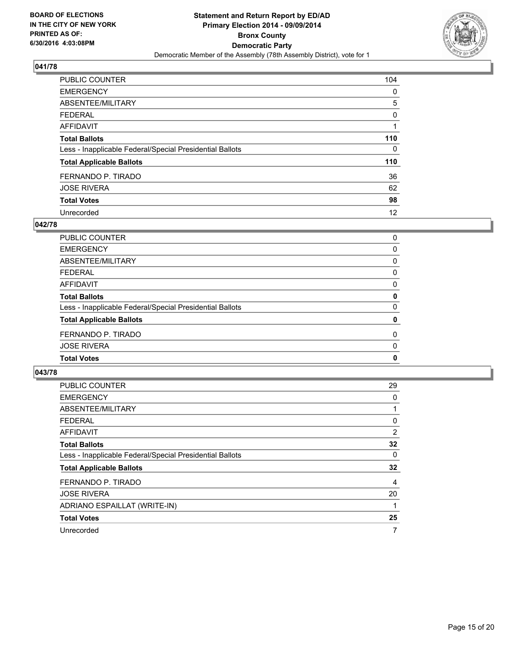

| PUBLIC COUNTER                                           | 104 |
|----------------------------------------------------------|-----|
| <b>EMERGENCY</b>                                         | 0   |
| ABSENTEE/MILITARY                                        | 5   |
| <b>FEDERAL</b>                                           | 0   |
| <b>AFFIDAVIT</b>                                         |     |
| <b>Total Ballots</b>                                     | 110 |
| Less - Inapplicable Federal/Special Presidential Ballots | 0   |
| <b>Total Applicable Ballots</b>                          | 110 |
| FERNANDO P. TIRADO                                       | 36  |
| <b>JOSE RIVERA</b>                                       | 62  |
| <b>Total Votes</b>                                       | 98  |
| Unrecorded                                               | 12  |

## **042/78**

| PUBLIC COUNTER                                           | 0            |
|----------------------------------------------------------|--------------|
| <b>EMERGENCY</b>                                         | 0            |
| <b>ABSENTEE/MILITARY</b>                                 | 0            |
| <b>FEDERAL</b>                                           | 0            |
| <b>AFFIDAVIT</b>                                         | 0            |
| <b>Total Ballots</b>                                     | 0            |
| Less - Inapplicable Federal/Special Presidential Ballots | $\Omega$     |
| <b>Total Applicable Ballots</b>                          | 0            |
| FERNANDO P. TIRADO                                       | 0            |
| <b>JOSE RIVERA</b>                                       | 0            |
| <b>Total Votes</b>                                       | $\mathbf{0}$ |
|                                                          |              |

| <b>PUBLIC COUNTER</b>                                    | 29 |
|----------------------------------------------------------|----|
| <b>EMERGENCY</b>                                         | 0  |
| ABSENTEE/MILITARY                                        | 1  |
| <b>FEDERAL</b>                                           | 0  |
| AFFIDAVIT                                                | 2  |
| <b>Total Ballots</b>                                     | 32 |
| Less - Inapplicable Federal/Special Presidential Ballots | 0  |
| <b>Total Applicable Ballots</b>                          | 32 |
| FERNANDO P. TIRADO                                       | 4  |
| <b>JOSE RIVERA</b>                                       | 20 |
| ADRIANO ESPAILLAT (WRITE-IN)                             | 1  |
| <b>Total Votes</b>                                       | 25 |
| Unrecorded                                               | 7  |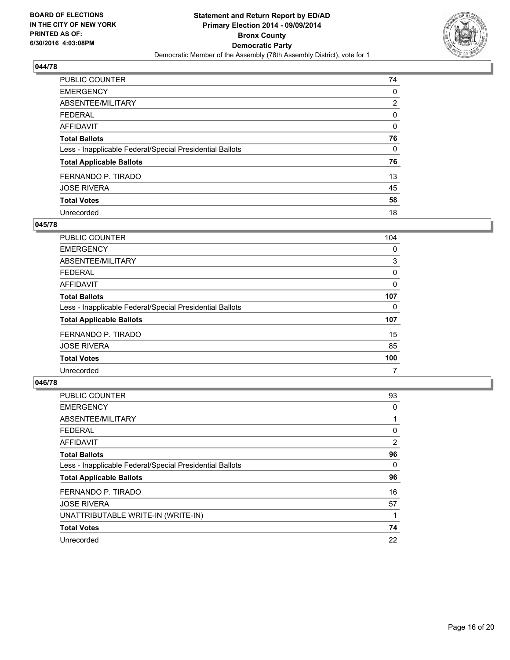

| PUBLIC COUNTER                                           | 74 |
|----------------------------------------------------------|----|
| <b>EMERGENCY</b>                                         | 0  |
| ABSENTEE/MILITARY                                        | 2  |
| <b>FEDERAL</b>                                           | 0  |
| <b>AFFIDAVIT</b>                                         | 0  |
| <b>Total Ballots</b>                                     | 76 |
| Less - Inapplicable Federal/Special Presidential Ballots | 0  |
| <b>Total Applicable Ballots</b>                          | 76 |
| FERNANDO P. TIRADO                                       | 13 |
| <b>JOSE RIVERA</b>                                       | 45 |
| <b>Total Votes</b>                                       | 58 |
| Unrecorded                                               | 18 |

#### **045/78**

| <b>PUBLIC COUNTER</b>                                    | 104 |
|----------------------------------------------------------|-----|
| <b>EMERGENCY</b>                                         | 0   |
| ABSENTEE/MILITARY                                        | 3   |
| <b>FEDERAL</b>                                           | 0   |
| AFFIDAVIT                                                | 0   |
| <b>Total Ballots</b>                                     | 107 |
| Less - Inapplicable Federal/Special Presidential Ballots | 0   |
| <b>Total Applicable Ballots</b>                          | 107 |
| FERNANDO P. TIRADO                                       | 15  |
| <b>JOSE RIVERA</b>                                       | 85  |
| <b>Total Votes</b>                                       | 100 |
| Unrecorded                                               | 7   |

| <b>PUBLIC COUNTER</b>                                    | 93 |
|----------------------------------------------------------|----|
| <b>EMERGENCY</b>                                         | 0  |
| ABSENTEE/MILITARY                                        | 1  |
| <b>FEDERAL</b>                                           | 0  |
| <b>AFFIDAVIT</b>                                         | 2  |
| <b>Total Ballots</b>                                     | 96 |
| Less - Inapplicable Federal/Special Presidential Ballots | 0  |
| <b>Total Applicable Ballots</b>                          | 96 |
| FERNANDO P. TIRADO                                       | 16 |
| <b>JOSE RIVERA</b>                                       | 57 |
| UNATTRIBUTABLE WRITE-IN (WRITE-IN)                       | 1  |
| <b>Total Votes</b>                                       | 74 |
| Unrecorded                                               | 22 |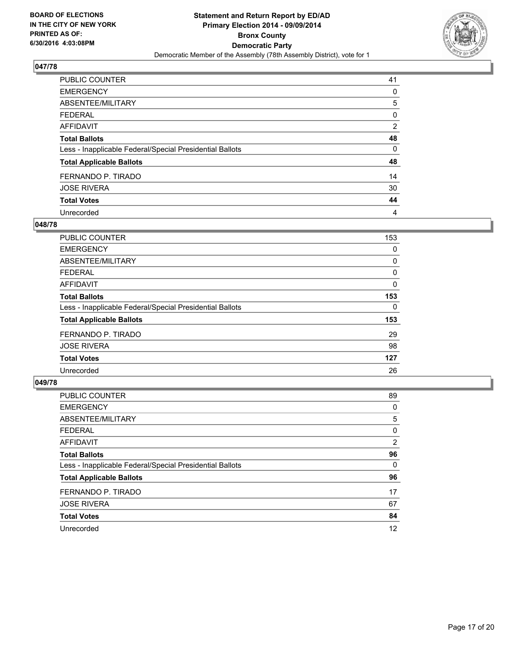

| PUBLIC COUNTER                                           | 41             |
|----------------------------------------------------------|----------------|
| <b>EMERGENCY</b>                                         | 0              |
| ABSENTEE/MILITARY                                        | 5              |
| <b>FEDERAL</b>                                           | 0              |
| <b>AFFIDAVIT</b>                                         | $\overline{2}$ |
| <b>Total Ballots</b>                                     | 48             |
| Less - Inapplicable Federal/Special Presidential Ballots | 0              |
| <b>Total Applicable Ballots</b>                          | 48             |
| FERNANDO P. TIRADO                                       | 14             |
| <b>JOSE RIVERA</b>                                       | 30             |
| <b>Total Votes</b>                                       | 44             |
| Unrecorded                                               | 4              |

#### **048/78**

| <b>PUBLIC COUNTER</b>                                    | 153 |
|----------------------------------------------------------|-----|
| <b>EMERGENCY</b>                                         | 0   |
| ABSENTEE/MILITARY                                        | 0   |
| FEDERAL                                                  | 0   |
| AFFIDAVIT                                                | 0   |
| <b>Total Ballots</b>                                     | 153 |
| Less - Inapplicable Federal/Special Presidential Ballots | 0   |
| <b>Total Applicable Ballots</b>                          | 153 |
| FERNANDO P. TIRADO                                       | 29  |
| <b>JOSE RIVERA</b>                                       | 98  |
| <b>Total Votes</b>                                       | 127 |
| Unrecorded                                               | 26  |

| PUBLIC COUNTER                                           | 89             |
|----------------------------------------------------------|----------------|
| <b>EMERGENCY</b>                                         | 0              |
| ABSENTEE/MILITARY                                        | 5              |
| <b>FEDERAL</b>                                           | 0              |
| <b>AFFIDAVIT</b>                                         | $\overline{2}$ |
| <b>Total Ballots</b>                                     | 96             |
| Less - Inapplicable Federal/Special Presidential Ballots | 0              |
| <b>Total Applicable Ballots</b>                          | 96             |
| FERNANDO P. TIRADO                                       | 17             |
| <b>JOSE RIVERA</b>                                       | 67             |
| <b>Total Votes</b>                                       | 84             |
| Unrecorded                                               | 12             |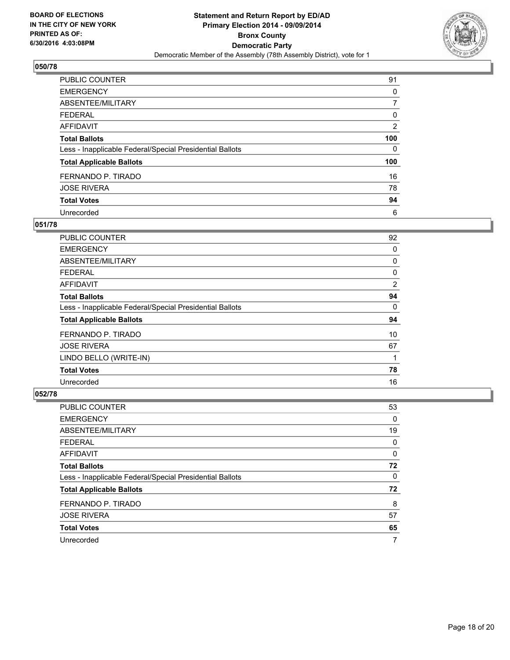

| PUBLIC COUNTER                                           | 91             |
|----------------------------------------------------------|----------------|
| <b>EMERGENCY</b>                                         | 0              |
| ABSENTEE/MILITARY                                        |                |
| <b>FEDERAL</b>                                           | 0              |
| <b>AFFIDAVIT</b>                                         | $\overline{2}$ |
| <b>Total Ballots</b>                                     | 100            |
| Less - Inapplicable Federal/Special Presidential Ballots | 0              |
| <b>Total Applicable Ballots</b>                          | 100            |
| FERNANDO P. TIRADO                                       | 16             |
| <b>JOSE RIVERA</b>                                       | 78             |
| <b>Total Votes</b>                                       | 94             |
| Unrecorded                                               | 6              |

#### **051/78**

| PUBLIC COUNTER                                           | 92 |
|----------------------------------------------------------|----|
| <b>EMERGENCY</b>                                         | 0  |
| ABSENTEE/MILITARY                                        | 0  |
| <b>FEDERAL</b>                                           | 0  |
| AFFIDAVIT                                                | 2  |
| <b>Total Ballots</b>                                     | 94 |
| Less - Inapplicable Federal/Special Presidential Ballots | 0  |
| <b>Total Applicable Ballots</b>                          | 94 |
| FERNANDO P. TIRADO                                       | 10 |
| <b>JOSE RIVERA</b>                                       | 67 |
| LINDO BELLO (WRITE-IN)                                   | 1  |
| <b>Total Votes</b>                                       | 78 |
| Unrecorded                                               | 16 |

| PUBLIC COUNTER                                           | 53 |
|----------------------------------------------------------|----|
| <b>EMERGENCY</b>                                         | 0  |
| ABSENTEE/MILITARY                                        | 19 |
| <b>FEDERAL</b>                                           | 0  |
| AFFIDAVIT                                                | 0  |
| <b>Total Ballots</b>                                     | 72 |
| Less - Inapplicable Federal/Special Presidential Ballots | 0  |
| <b>Total Applicable Ballots</b>                          | 72 |
| FERNANDO P. TIRADO                                       | 8  |
| <b>JOSE RIVERA</b>                                       | 57 |
| <b>Total Votes</b>                                       | 65 |
| Unrecorded                                               | 7  |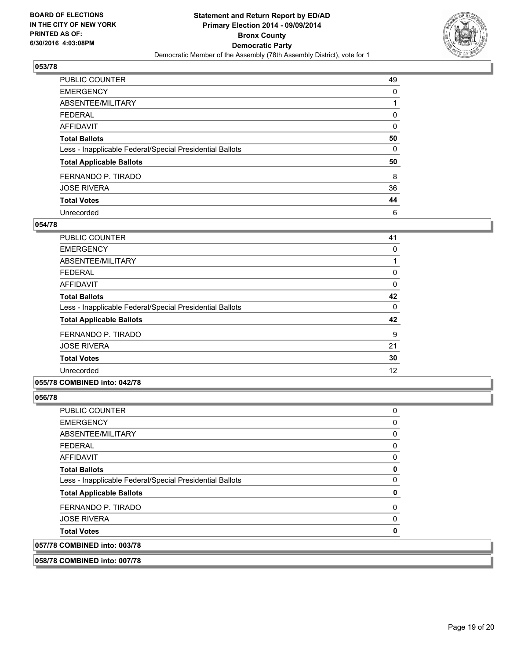

| PUBLIC COUNTER                                           | 49 |
|----------------------------------------------------------|----|
| <b>EMERGENCY</b>                                         | 0  |
| ABSENTEE/MILITARY                                        |    |
| <b>FEDERAL</b>                                           | 0  |
| <b>AFFIDAVIT</b>                                         | 0  |
| <b>Total Ballots</b>                                     | 50 |
| Less - Inapplicable Federal/Special Presidential Ballots | 0  |
| <b>Total Applicable Ballots</b>                          | 50 |
| FERNANDO P. TIRADO                                       | 8  |
| <b>JOSE RIVERA</b>                                       | 36 |
| <b>Total Votes</b>                                       | 44 |
| Unrecorded                                               | 6  |

#### **054/78**

| PUBLIC COUNTER                                           | 41 |
|----------------------------------------------------------|----|
| <b>EMERGENCY</b>                                         | 0  |
| ABSENTEE/MILITARY                                        |    |
| <b>FEDERAL</b>                                           | 0  |
| AFFIDAVIT                                                | 0  |
| <b>Total Ballots</b>                                     | 42 |
| Less - Inapplicable Federal/Special Presidential Ballots | 0  |
| <b>Total Applicable Ballots</b>                          | 42 |
| FERNANDO P. TIRADO                                       | 9  |
| <b>JOSE RIVERA</b>                                       | 21 |
| <b>Total Votes</b>                                       | 30 |
| Unrecorded                                               | 12 |
|                                                          |    |

#### **055/78 COMBINED into: 042/78**

**056/78** 

| <b>PUBLIC COUNTER</b>                                    | 0        |
|----------------------------------------------------------|----------|
| <b>EMERGENCY</b>                                         | 0        |
| ABSENTEE/MILITARY                                        | 0        |
| <b>FEDERAL</b>                                           | 0        |
| AFFIDAVIT                                                | 0        |
| <b>Total Ballots</b>                                     | 0        |
| Less - Inapplicable Federal/Special Presidential Ballots | 0        |
| <b>Total Applicable Ballots</b>                          | 0        |
| FERNANDO P. TIRADO                                       | $\Omega$ |
| <b>JOSE RIVERA</b>                                       | 0        |
| <b>Total Votes</b>                                       | 0        |
| 057/78 COMBINED into: 003/78                             |          |

**058/78 COMBINED into: 007/78**